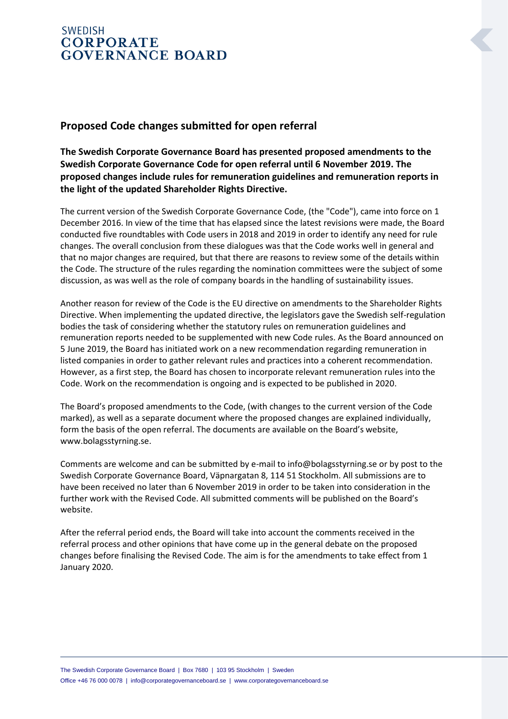## **SWEDISH CORPORATE GOVERNANCE BOARD**

## **Proposed Code changes submitted for open referral**

**The Swedish Corporate Governance Board has presented proposed amendments to the Swedish Corporate Governance Code for open referral until 6 November 2019. The proposed changes include rules for remuneration guidelines and remuneration reports in the light of the updated Shareholder Rights Directive.**

The current version of the Swedish Corporate Governance Code, (the "Code"), came into force on 1 December 2016. In view of the time that has elapsed since the latest revisions were made, the Board conducted five roundtables with Code users in 2018 and 2019 in order to identify any need for rule changes. The overall conclusion from these dialogues was that the Code works well in general and that no major changes are required, but that there are reasons to review some of the details within the Code. The structure of the rules regarding the nomination committees were the subject of some discussion, as was well as the role of company boards in the handling of sustainability issues.

Another reason for review of the Code is the EU directive on amendments to the Shareholder Rights Directive. When implementing the updated directive, the legislators gave the Swedish self-regulation bodies the task of considering whether the statutory rules on remuneration guidelines and remuneration reports needed to be supplemented with new Code rules. As the Board announced on 5 June 2019, the Board has initiated work on a new recommendation regarding remuneration in listed companies in order to gather relevant rules and practices into a coherent recommendation. However, as a first step, the Board has chosen to incorporate relevant remuneration rules into the Code. Work on the recommendation is ongoing and is expected to be published in 2020.

The Board's proposed amendments to the Code, (with changes to the current version of the Code marked), as well as a separate document where the proposed changes are explained individually, form the basis of the open referral. The documents are available on the Board's website, www.bolagsstyrning.se.

Comments are welcome and can be submitted by e-mail to info@bolagsstyrning.se or by post to the Swedish Corporate Governance Board, Väpnargatan 8, 114 51 Stockholm. All submissions are to have been received no later than 6 November 2019 in order to be taken into consideration in the further work with the Revised Code. All submitted comments will be published on the Board's website.

After the referral period ends, the Board will take into account the comments received in the referral process and other opinions that have come up in the general debate on the proposed changes before finalising the Revised Code. The aim is for the amendments to take effect from 1 January 2020.